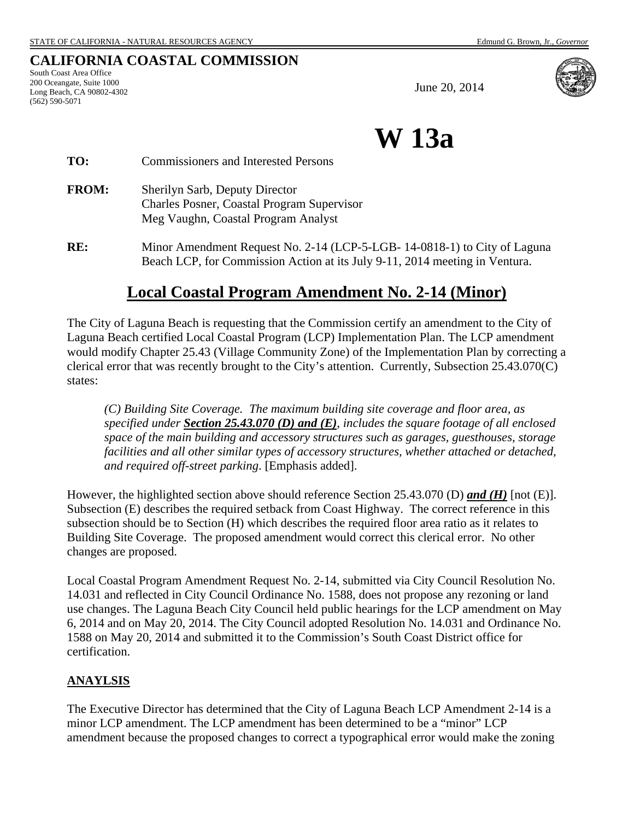## **CALIFORNIA COASTAL COMMISSION**

South Coast Area Office 200 Oceangate, Suite 1000 Long Beach, CA 90802-4302 (562) 590-5071

June 20, 2014



**W 13a**

| TO:          | <b>Commissioners and Interested Persons</b>                                                                         |
|--------------|---------------------------------------------------------------------------------------------------------------------|
| <b>FROM:</b> | Sherilyn Sarb, Deputy Director<br>Charles Posner, Coastal Program Supervisor<br>Meg Vaughn, Coastal Program Analyst |
|              |                                                                                                                     |

**RE:** Minor Amendment Request No. 2-14 (LCP-5-LGB- 14-0818-1) to City of Laguna Beach LCP, for Commission Action at its July 9-11, 2014 meeting in Ventura.

# **Local Coastal Program Amendment No. 2-14 (Minor)**

The City of Laguna Beach is requesting that the Commission certify an amendment to the City of Laguna Beach certified Local Coastal Program (LCP) Implementation Plan. The LCP amendment would modify Chapter 25.43 (Village Community Zone) of the Implementation Plan by correcting a clerical error that was recently brought to the City's attention. Currently, Subsection 25.43.070(C) states:

*(C) Building Site Coverage. The maximum building site coverage and floor area, as specified under Section 25.43.070 (D) and (E), includes the square footage of all enclosed space of the main building and accessory structures such as garages, guesthouses, storage facilities and all other similar types of accessory structures, whether attached or detached, and required off-street parking*. [Emphasis added].

However, the highlighted section above should reference Section 25.43.070 (D) *and (H)* [not (E)]. Subsection (E) describes the required setback from Coast Highway. The correct reference in this subsection should be to Section (H) which describes the required floor area ratio as it relates to Building Site Coverage. The proposed amendment would correct this clerical error. No other changes are proposed.

Local Coastal Program Amendment Request No. 2-14, submitted via City Council Resolution No. 14.031 and reflected in City Council Ordinance No. 1588, does not propose any rezoning or land use changes. The Laguna Beach City Council held public hearings for the LCP amendment on May 6, 2014 and on May 20, 2014. The City Council adopted Resolution No. 14.031 and Ordinance No. 1588 on May 20, 2014 and submitted it to the Commission's South Coast District office for certification.

#### **ANAYLSIS**

The Executive Director has determined that the City of Laguna Beach LCP Amendment 2-14 is a minor LCP amendment. The LCP amendment has been determined to be a "minor" LCP amendment because the proposed changes to correct a typographical error would make the zoning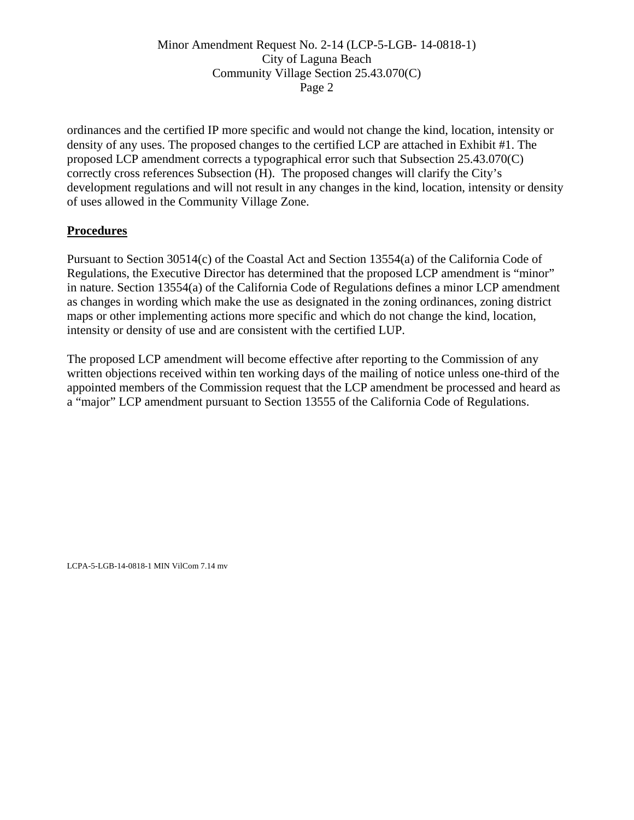### Minor Amendment Request No. 2-14 (LCP-5-LGB- 14-0818-1) City of Laguna Beach Community Village Section 25.43.070(C) Page 2

ordinances and the certified IP more specific and would not change the kind, location, intensity or density of any uses. The proposed changes to the certified LCP are attached in Exhibit #1. The proposed LCP amendment corrects a typographical error such that Subsection 25.43.070(C) correctly cross references Subsection (H). The proposed changes will clarify the City's development regulations and will not result in any changes in the kind, location, intensity or density of uses allowed in the Community Village Zone.

### **Procedures**

Pursuant to Section 30514(c) of the Coastal Act and Section 13554(a) of the California Code of Regulations, the Executive Director has determined that the proposed LCP amendment is "minor" in nature. Section 13554(a) of the California Code of Regulations defines a minor LCP amendment as changes in wording which make the use as designated in the zoning ordinances, zoning district maps or other implementing actions more specific and which do not change the kind, location, intensity or density of use and are consistent with the certified LUP.

The proposed LCP amendment will become effective after reporting to the Commission of any written objections received within ten working days of the mailing of notice unless one-third of the appointed members of the Commission request that the LCP amendment be processed and heard as a "major" LCP amendment pursuant to Section 13555 of the California Code of Regulations.

LCPA-5-LGB-14-0818-1 MIN VilCom 7.14 mv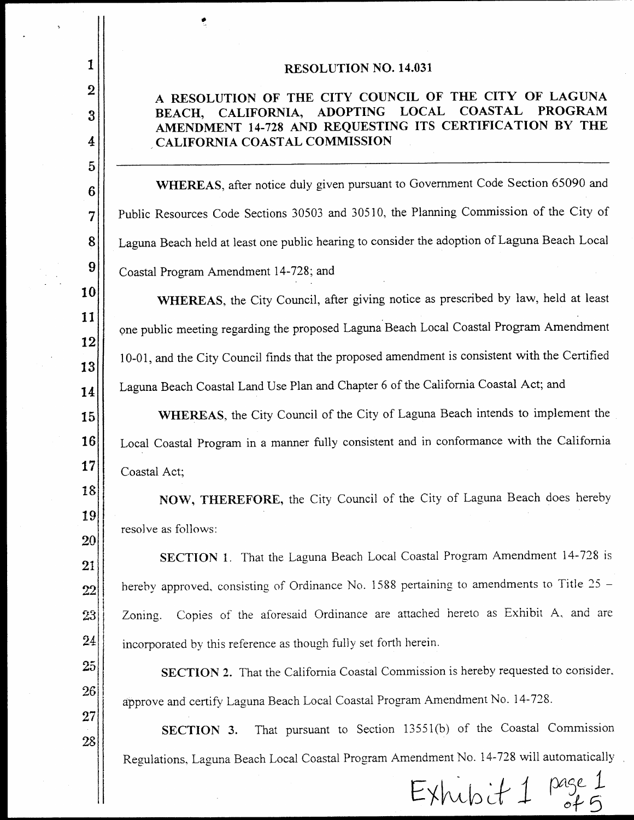#### **RESOLUTION NO. 14.031**

 $\mathbf{1}$ 

 $\overline{2}$ 

3

4

5

6

7

8

9

10

11

12

13

14

15

16

17

18

19

20

21

22

23

24

25

26

 $27$ 

28

#### A RESOLUTION OF THE CITY COUNCIL OF THE CITY OF LAGUNA CALIFORNIA, ADOPTING LOCAL **COASTAL PROGRAM** BEACH, AMENDMENT 14-728 AND REQUESTING ITS CERTIFICATION BY THE CALIFORNIA COASTAL COMMISSION

WHEREAS, after notice duly given pursuant to Government Code Section 65090 and Public Resources Code Sections 30503 and 30510, the Planning Commission of the City of Laguna Beach held at least one public hearing to consider the adoption of Laguna Beach Local Coastal Program Amendment 14-728; and

WHEREAS, the City Council, after giving notice as prescribed by law, held at least one public meeting regarding the proposed Laguna Beach Local Coastal Program Amendment 10-01, and the City Council finds that the proposed amendment is consistent with the Certified Laguna Beach Coastal Land Use Plan and Chapter 6 of the California Coastal Act; and

WHEREAS, the City Council of the City of Laguna Beach intends to implement the Local Coastal Program in a manner fully consistent and in conformance with the California Coastal Act;

NOW, THEREFORE, the City Council of the City of Laguna Beach does hereby resolve as follows:

SECTION 1. That the Laguna Beach Local Coastal Program Amendment 14-728 is hereby approved, consisting of Ordinance No. 1588 pertaining to amendments to Title 25 -Copies of the aforesaid Ordinance are attached hereto as Exhibit A, and are Zoning. incorporated by this reference as though fully set forth herein.

SECTION 2. That the California Coastal Commission is hereby requested to consider. approve and certify Laguna Beach Local Coastal Program Amendment No. 14-728.

That pursuant to Section 13551(b) of the Coastal Commission SECTION 3. Regulations, Laguna Beach Local Coastal Program Amendment No. 14-728 will automatically

 $EXhubit 1$  page.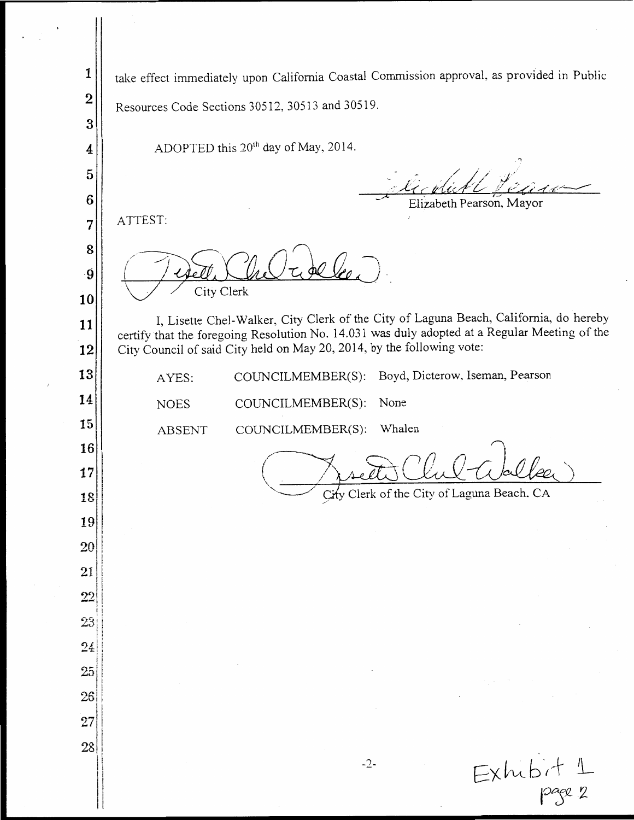take effect immediately upon California Coastal Commission approval, as provided in Public 1  $\overline{2}$ Resources Code Sections 30512, 30513 and 30519.  $\overline{3}$ ADOPTED this 20<sup>th</sup> day of May, 2014.  $\overline{4}$ 5  $6\phantom{1}6$ Elizabeth Pearson, Mayor ATTEST:  $\overline{7}$ 8  $\omega$   $V_{0}$ .g City Clerk 10 I, Lisette Chel-Walker, City Clerk of the City of Laguna Beach, California, do hereby 11 certify that the foregoing Resolution No. 14.031 was duly adopted at a Regular Meeting of the City Council of said City held on May 20, 2014, by the following vote: 12 13 COUNCILMEMBER(S): Boyd, Dicterow, Iseman, Pearson AYES: 14 **NOES** COUNCILMEMBER(S): None 15 Whalen **ABSENT** COUNCILMEMBER(S): 16 Vec. 17 Clerk of the City of Laguna Beach. CA City 18 19 20  $21$  $22$  $23$ 24 25 26  $27$ 28  $Exhibit 1$ <br>page 2  $-2-$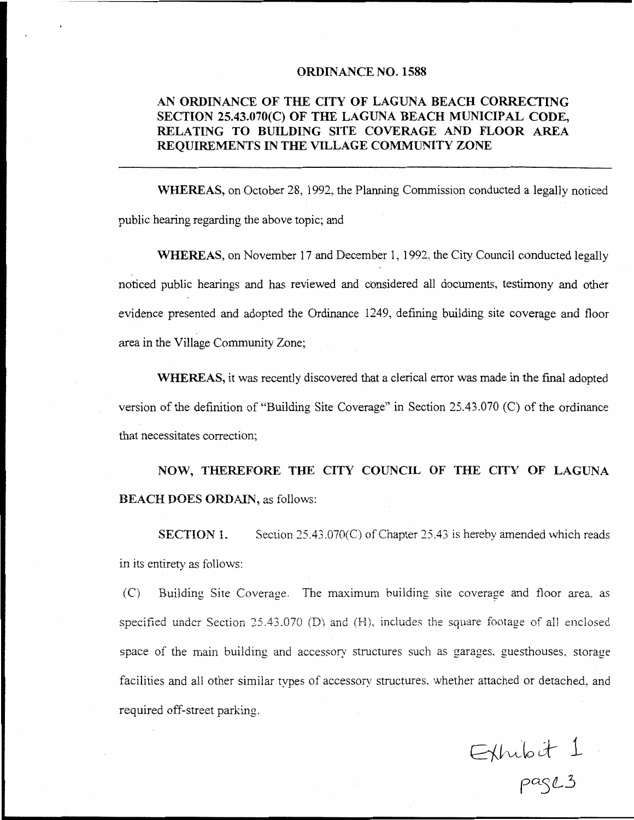#### **ORDINANCE NO. 1588**

## AN ORDINANCE OF THE CITY OF LAGUNA BEACH CORRECTING SECTION 25.43.070(C) OF THE LAGUNA BEACH MUNICIPAL CODE, RELATING TO BUILDING SITE COVERAGE AND FLOOR AREA REOUIREMENTS IN THE VILLAGE COMMUNITY ZONE

WHEREAS, on October 28, 1992, the Planning Commission conducted a legally noticed public hearing regarding the above topic; and

WHEREAS, on November 17 and December 1, 1992, the City Council conducted legally noticed public hearings and has reviewed and considered all documents, testimony and other evidence presented and adopted the Ordinance 1249, defining building site coverage and floor area in the Village Community Zone;

WHEREAS, it was recently discovered that a clerical error was made in the final adopted version of the definition of "Building Site Coverage" in Section 25.43.070 (C) of the ordinance that necessitates correction;

NOW, THEREFORE THE CITY COUNCIL OF THE CITY OF LAGUNA **BEACH DOES ORDAIN, as follows:** 

**SECTION 1.** Section 25.43.070(C) of Chapter 25.43 is hereby amended which reads in its entirety as follows:

 $(C)$ Building Site Coverage. The maximum building site coverage and floor area, as specified under Section 25.43.070 (D) and (H), includes the square footage of all enclosed space of the main building and accessory structures such as garages, guesthouses, storage facilities and all other similar types of accessory structures, whether attached or detached, and required off-street parking.

Exhibit 1<br>page 3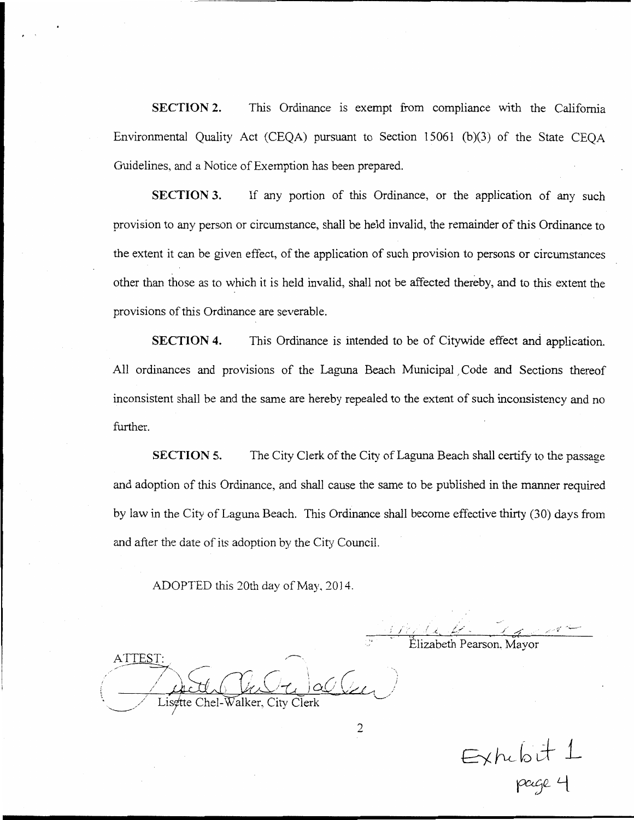**SECTION 2.** This Ordinance is exempt from compliance with the California Environmental Quality Act (CEQA) pursuant to Section 15061 (b)(3) of the State CEQA Guidelines, and a Notice of Exemption has been prepared.

**SECTION 3.** If any portion of this Ordinance, or the application of any such provision to any person or circumstance, shall be held invalid, the remainder of this Ordinance to the extent it can be given effect, of the application of such provision to persons or circumstances other than those as to which it is held invalid, shall not be affected thereby, and to this extent the provisions of this Ordinance are severable.

**SECTION 4.** This Ordinance is intended to be of Citywide effect and application. All ordinances and provisions of the Laguna Beach Municipal Code and Sections thereof inconsistent shall be and the same are hereby repealed to the extent of such inconsistency and no further.

**SECTION 5.** The City Clerk of the City of Laguna Beach shall certify to the passage and adoption of this Ordinance, and shall cause the same to be published in the manner required by law in the City of Laguna Beach. This Ordinance shall become effective thirty (30) days from and after the date of its adoption by the City Council.

ADOPTED this 20th day of May, 2014.

Flizabeth Pearson. Mayor

ATTEST: Lisette Chel-Walker. City

Exhibit 1<br>Page 4

 $\overline{2}$